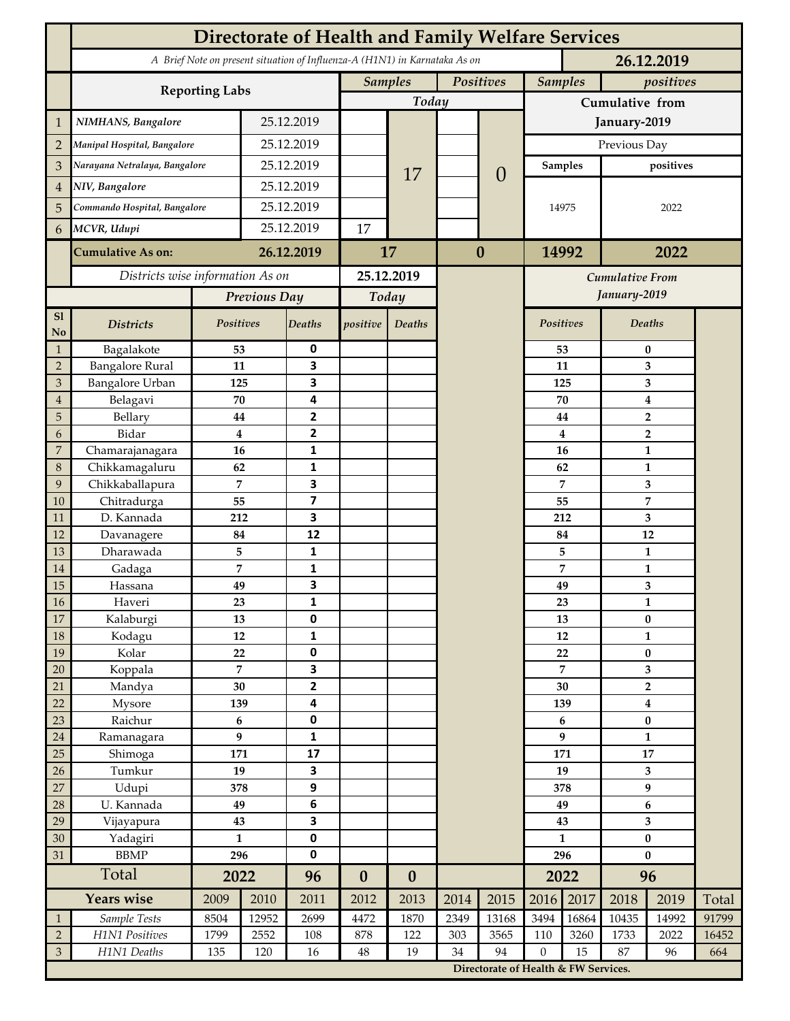|                  | <b>Directorate of Health and Family Welfare Services</b>                                 |                  |            |                |                             |                  |      |                                      |                  |           |                           |              |       |  |
|------------------|------------------------------------------------------------------------------------------|------------------|------------|----------------|-----------------------------|------------------|------|--------------------------------------|------------------|-----------|---------------------------|--------------|-------|--|
|                  | A Brief Note on present situation of Influenza-A (H1N1) in Karnataka As on<br>26.12.2019 |                  |            |                |                             |                  |      |                                      |                  |           |                           |              |       |  |
|                  |                                                                                          |                  |            |                | <b>Samples</b><br>Positives |                  |      | <b>Samples</b><br>positives          |                  |           |                           |              |       |  |
|                  | <b>Reporting Labs</b>                                                                    |                  |            |                |                             | Today            |      | Cumulative from                      |                  |           |                           |              |       |  |
| 1                | NIMHANS, Bangalore                                                                       | 25.12.2019       |            |                |                             |                  |      | January-2019                         |                  |           |                           |              |       |  |
| $\overline{2}$   | Manipal Hospital, Bangalore                                                              |                  | 25.12.2019 |                |                             |                  |      | $\overline{0}$                       | Previous Day     |           |                           |              |       |  |
| 3                | Narayana Netralaya, Bangalore                                                            |                  |            | 25.12.2019     |                             |                  |      |                                      | <b>Samples</b>   |           | positives                 |              |       |  |
| 4                | NIV, Bangalore                                                                           |                  | 25.12.2019 |                |                             | 17               |      |                                      | 14975            |           | 2022                      |              |       |  |
| 5                | Commando Hospital, Bangalore                                                             |                  | 25.12.2019 |                |                             |                  |      |                                      |                  |           |                           |              |       |  |
| 6                | MCVR, Udupi                                                                              |                  | 25.12.2019 |                | 17                          |                  |      |                                      |                  |           |                           |              |       |  |
|                  | <b>Cumulative As on:</b>                                                                 |                  |            | 26.12.2019     |                             | 17               |      | $\bf{0}$                             |                  | 14992     |                           | 2022         |       |  |
|                  | Districts wise information As on                                                         |                  |            | 25.12.2019     |                             |                  |      | <b>Cumulative From</b>               |                  |           |                           |              |       |  |
|                  |                                                                                          | Previous Day     |            | Today          |                             |                  |      | January-2019                         |                  |           |                           |              |       |  |
| S1<br>No         | <b>Districts</b>                                                                         | Positives        |            | Deaths         | positive                    | Deaths           |      |                                      |                  | Positives | <b>Deaths</b>             |              |       |  |
| $\mathbf{1}$     | Bagalakote                                                                               | 53               |            | 0              |                             |                  |      |                                      |                  | 53        | $\bf{0}$                  |              |       |  |
| $\overline{2}$   | <b>Bangalore Rural</b>                                                                   | 11               |            | 3              |                             |                  |      |                                      | 11               |           | 3                         |              |       |  |
| $\mathfrak{B}$   | Bangalore Urban                                                                          | 125              |            | 3              |                             |                  |      |                                      |                  | 125       | 3                         |              |       |  |
| $\boldsymbol{4}$ | Belagavi                                                                                 | 70               |            | 4              |                             |                  |      |                                      | 70               |           | $\boldsymbol{4}$          |              |       |  |
| $\overline{5}$   | Bellary                                                                                  | 44               |            | $\mathbf{2}$   |                             |                  |      |                                      |                  | 44        | $\overline{2}$            |              |       |  |
| 6                | Bidar                                                                                    | $\bf{4}$         |            | 2              |                             |                  |      |                                      |                  | 4         | $\overline{2}$            |              |       |  |
| 7                | Chamarajanagara                                                                          | 16               |            | 1              |                             |                  |      |                                      |                  | 16        | 1                         |              |       |  |
| 8                | Chikkamagaluru                                                                           | 62               |            | 1              |                             |                  |      |                                      | 62               |           |                           | $\mathbf{1}$ |       |  |
| 9                | Chikkaballapura                                                                          | 7<br>55          |            | 3              |                             |                  |      |                                      |                  | 7         |                           | 3            |       |  |
| 10               | Chitradurga<br>D. Kannada                                                                | 212              |            | 7<br>3         |                             |                  |      |                                      |                  | 55<br>212 |                           | 7            |       |  |
| 11<br>12         | Davanagere                                                                               | 84               |            | 12             |                             |                  |      |                                      |                  | 84        | 3<br>12                   |              |       |  |
| 13               | Dharawada                                                                                | 5                |            | 1              |                             |                  |      |                                      |                  | 5         |                           | $\mathbf{1}$ |       |  |
| 14               | Gadaga                                                                                   | 7                |            | 1              |                             |                  |      |                                      |                  | 7         | $\mathbf{1}$              |              |       |  |
| 15               | Hassana                                                                                  | 49               |            | 3              |                             |                  |      |                                      | 49               |           | 3                         |              |       |  |
| $16\,$           | Haveri                                                                                   | 23               |            | 1              |                             |                  |      |                                      |                  | 23        | $\mathbf{1}$              |              |       |  |
| $17\,$           | Kalaburgi                                                                                | 13               |            | 0              |                             |                  |      |                                      |                  | 13        | $\bf{0}$                  |              |       |  |
| $18\,$           | Kodagu                                                                                   | $12\,$           |            | 1              |                             |                  |      |                                      |                  | $12\,$    | $\mathbf{1}$              |              |       |  |
| 19               | Kolar                                                                                    | 22               |            | $\pmb{0}$      |                             |                  |      |                                      | 22               |           | $\pmb{0}$                 |              |       |  |
| 20               | Koppala                                                                                  | $\overline{7}$   |            | 3              |                             |                  |      |                                      | 7                |           | 3                         |              |       |  |
| 21               | Mandya                                                                                   | 30               |            | $\overline{2}$ |                             |                  |      |                                      | 30               |           | $\overline{2}$            |              |       |  |
| 22               | Mysore                                                                                   | 139              |            | 4              |                             |                  |      |                                      | 139              |           | $\boldsymbol{4}$          |              |       |  |
| 23               | Raichur                                                                                  | $\boldsymbol{6}$ |            | 0              |                             |                  |      |                                      |                  | 6         | $\pmb{0}$                 |              |       |  |
| $24\,$           | Ramanagara                                                                               | $\boldsymbol{9}$ |            | 1              |                             |                  |      |                                      | 9                |           | $\mathbf{1}$              |              |       |  |
| 25               | Shimoga                                                                                  | 171              |            | 17             |                             |                  |      |                                      | 171<br>19        |           | ${\bf 17}$                |              |       |  |
| 26               | Tumkur                                                                                   | 19               |            | 3              |                             |                  |      |                                      |                  |           | $\overline{\mathbf{3}}$   |              |       |  |
| 27               | Udupi                                                                                    | 378<br>49        |            | 9<br>6         |                             |                  |      |                                      | 378<br>49        |           | 9                         |              |       |  |
| 28<br>29         | U. Kannada<br>Vijayapura                                                                 | 43               |            | 3              |                             |                  |      |                                      | 43               |           | 6                         |              |       |  |
| 30               | Yadagiri                                                                                 | $\mathbf{1}$     |            | $\pmb{0}$      |                             |                  |      |                                      | $\mathbf{1}$     |           | $\mathbf{3}$<br>$\pmb{0}$ |              |       |  |
| 31               | <b>BBMP</b>                                                                              | 296              |            | $\pmb{0}$      |                             |                  |      |                                      | 296              |           | $\pmb{0}$                 |              |       |  |
|                  | Total                                                                                    | 2022             |            | 96             | $\boldsymbol{0}$            | $\boldsymbol{0}$ |      |                                      | 2022             |           | 96                        |              |       |  |
|                  | Years wise                                                                               | 2009             | 2010       | 2011           | 2012                        | 2013             | 2014 | 2015                                 | 2016             | 2017      | 2018                      | 2019         | Total |  |
| $\mathbf{1}$     | Sample Tests                                                                             | 8504             | 12952      | 2699           | 4472                        | 1870             | 2349 | 13168                                | 3494             | 16864     | 10435                     | 14992        | 91799 |  |
| $\sqrt{2}$       | H1N1 Positives                                                                           | 1799             | 2552       | 108            | 878                         | 122              | 303  | 3565                                 | 110              | 3260      | 1733                      | 2022         | 16452 |  |
| $\mathfrak{Z}$   | H1N1 Deaths                                                                              | 135              | 120        | 16             | $\rm 48$                    | 19               | 34   | 94                                   | $\boldsymbol{0}$ | 15        | 87                        | 96           | 664   |  |
|                  |                                                                                          |                  |            |                |                             |                  |      | Directorate of Health & FW Services. |                  |           |                           |              |       |  |